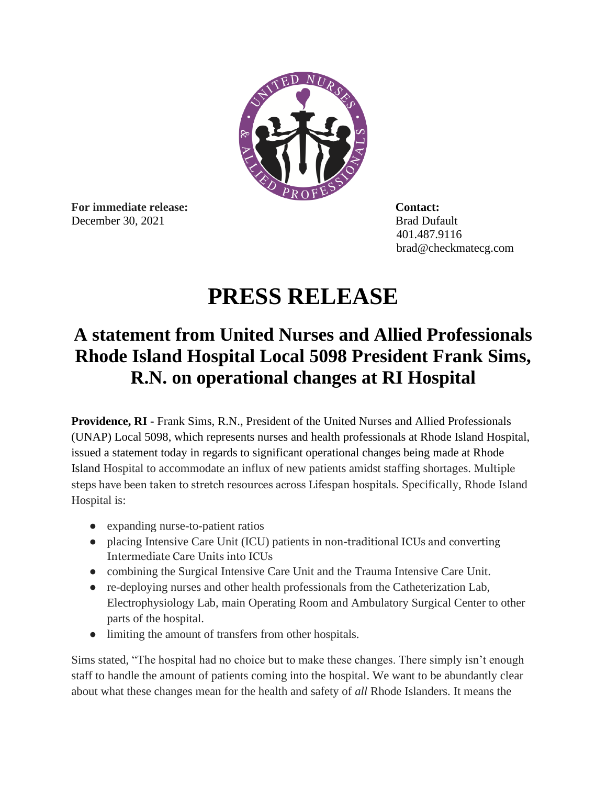

**For immediate release: Contact:** December 30, 2021 Brad Dufault

401.487.9116 brad@checkmatecg.com

## **PRESS RELEASE**

## **A statement from United Nurses and Allied Professionals Rhode Island Hospital Local 5098 President Frank Sims, R.N. on operational changes at RI Hospital**

**Providence, RI -** Frank Sims, R.N., President of the United Nurses and Allied Professionals (UNAP) Local 5098, which represents nurses and health professionals at Rhode Island Hospital, issued a statement today in regards to significant operational changes being made at Rhode Island Hospital to accommodate an influx of new patients amidst staffing shortages. Multiple steps have been taken to stretch resources across Lifespan hospitals. Specifically, Rhode Island Hospital is:

- expanding nurse-to-patient ratios
- placing Intensive Care Unit (ICU) patients in non-traditional ICUs and converting Intermediate Care Units into ICUs
- combining the Surgical Intensive Care Unit and the Trauma Intensive Care Unit.
- re-deploying nurses and other health professionals from the Catheterization Lab, Electrophysiology Lab, main Operating Room and Ambulatory Surgical Center to other parts of the hospital.
- limiting the amount of transfers from other hospitals.

Sims stated, "The hospital had no choice but to make these changes. There simply isn't enough staff to handle the amount of patients coming into the hospital. We want to be abundantly clear about what these changes mean for the health and safety of *all* Rhode Islanders. It means the